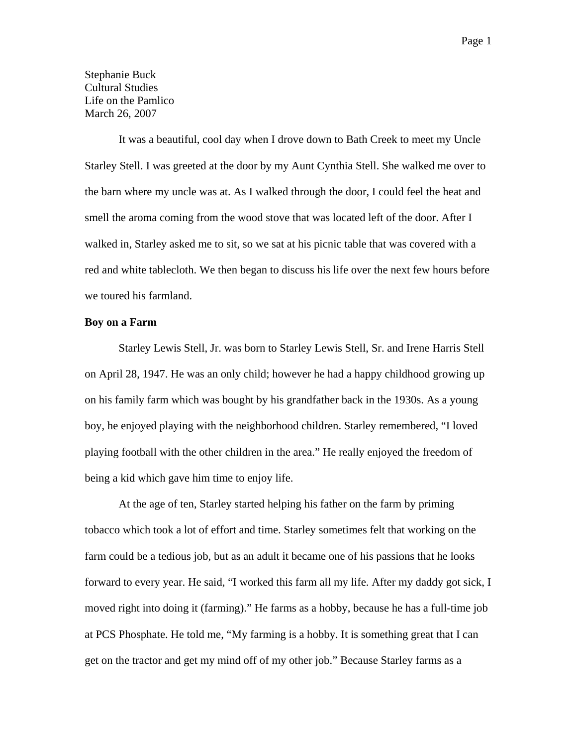Stephanie Buck Cultural Studies Life on the Pamlico March 26, 2007

It was a beautiful, cool day when I drove down to Bath Creek to meet my Uncle Starley Stell. I was greeted at the door by my Aunt Cynthia Stell. She walked me over to the barn where my uncle was at. As I walked through the door, I could feel the heat and smell the aroma coming from the wood stove that was located left of the door. After I walked in, Starley asked me to sit, so we sat at his picnic table that was covered with a red and white tablecloth. We then began to discuss his life over the next few hours before we toured his farmland.

# **Boy on a Farm**

Starley Lewis Stell, Jr. was born to Starley Lewis Stell, Sr. and Irene Harris Stell on April 28, 1947. He was an only child; however he had a happy childhood growing up on his family farm which was bought by his grandfather back in the 1930s. As a young boy, he enjoyed playing with the neighborhood children. Starley remembered, "I loved playing football with the other children in the area." He really enjoyed the freedom of being a kid which gave him time to enjoy life.

At the age of ten, Starley started helping his father on the farm by priming tobacco which took a lot of effort and time. Starley sometimes felt that working on the farm could be a tedious job, but as an adult it became one of his passions that he looks forward to every year. He said, "I worked this farm all my life. After my daddy got sick, I moved right into doing it (farming)." He farms as a hobby, because he has a full-time job at PCS Phosphate. He told me, "My farming is a hobby. It is something great that I can get on the tractor and get my mind off of my other job." Because Starley farms as a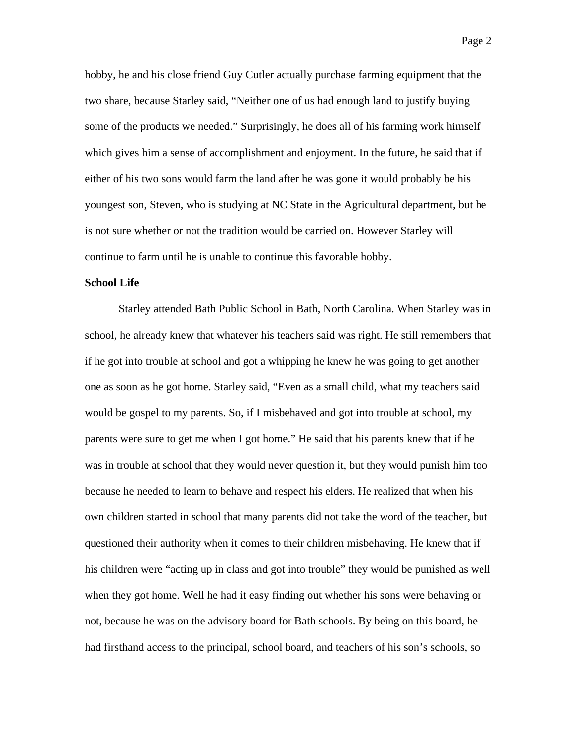hobby, he and his close friend Guy Cutler actually purchase farming equipment that the two share, because Starley said, "Neither one of us had enough land to justify buying some of the products we needed." Surprisingly, he does all of his farming work himself which gives him a sense of accomplishment and enjoyment. In the future, he said that if either of his two sons would farm the land after he was gone it would probably be his youngest son, Steven, who is studying at NC State in the Agricultural department, but he is not sure whether or not the tradition would be carried on. However Starley will continue to farm until he is unable to continue this favorable hobby.

# **School Life**

Starley attended Bath Public School in Bath, North Carolina. When Starley was in school, he already knew that whatever his teachers said was right. He still remembers that if he got into trouble at school and got a whipping he knew he was going to get another one as soon as he got home. Starley said, "Even as a small child, what my teachers said would be gospel to my parents. So, if I misbehaved and got into trouble at school, my parents were sure to get me when I got home." He said that his parents knew that if he was in trouble at school that they would never question it, but they would punish him too because he needed to learn to behave and respect his elders. He realized that when his own children started in school that many parents did not take the word of the teacher, but questioned their authority when it comes to their children misbehaving. He knew that if his children were "acting up in class and got into trouble" they would be punished as well when they got home. Well he had it easy finding out whether his sons were behaving or not, because he was on the advisory board for Bath schools. By being on this board, he had firsthand access to the principal, school board, and teachers of his son's schools, so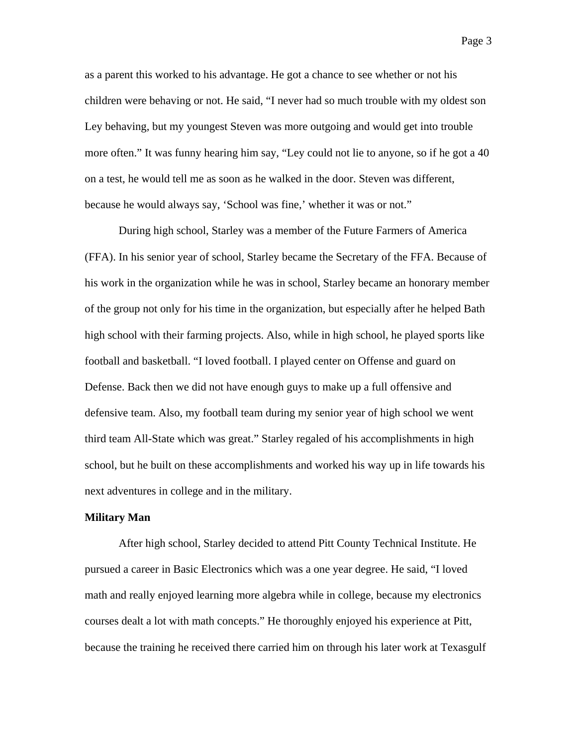as a parent this worked to his advantage. He got a chance to see whether or not his children were behaving or not. He said, "I never had so much trouble with my oldest son Ley behaving, but my youngest Steven was more outgoing and would get into trouble more often." It was funny hearing him say, "Ley could not lie to anyone, so if he got a 40 on a test, he would tell me as soon as he walked in the door. Steven was different, because he would always say, 'School was fine,' whether it was or not."

During high school, Starley was a member of the Future Farmers of America (FFA). In his senior year of school, Starley became the Secretary of the FFA. Because of his work in the organization while he was in school, Starley became an honorary member of the group not only for his time in the organization, but especially after he helped Bath high school with their farming projects. Also, while in high school, he played sports like football and basketball. "I loved football. I played center on Offense and guard on Defense. Back then we did not have enough guys to make up a full offensive and defensive team. Also, my football team during my senior year of high school we went third team All-State which was great." Starley regaled of his accomplishments in high school, but he built on these accomplishments and worked his way up in life towards his next adventures in college and in the military.

#### **Military Man**

After high school, Starley decided to attend Pitt County Technical Institute. He pursued a career in Basic Electronics which was a one year degree. He said, "I loved math and really enjoyed learning more algebra while in college, because my electronics courses dealt a lot with math concepts." He thoroughly enjoyed his experience at Pitt, because the training he received there carried him on through his later work at Texasgulf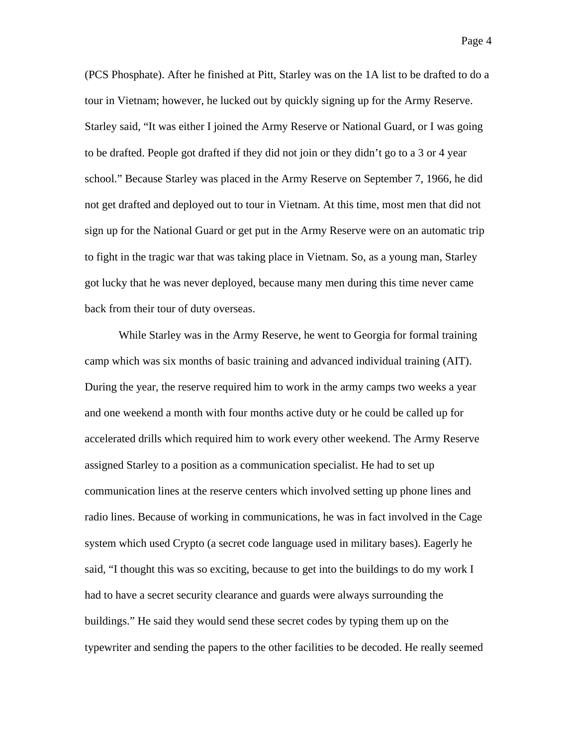(PCS Phosphate). After he finished at Pitt, Starley was on the 1A list to be drafted to do a tour in Vietnam; however, he lucked out by quickly signing up for the Army Reserve. Starley said, "It was either I joined the Army Reserve or National Guard, or I was going to be drafted. People got drafted if they did not join or they didn't go to a 3 or 4 year school." Because Starley was placed in the Army Reserve on September 7, 1966, he did not get drafted and deployed out to tour in Vietnam. At this time, most men that did not

sign up for the National Guard or get put in the Army Reserve were on an automatic trip to fight in the tragic war that was taking place in Vietnam. So, as a young man, Starley got lucky that he was never deployed, because many men during this time never came back from their tour of duty overseas.

While Starley was in the Army Reserve, he went to Georgia for formal training camp which was six months of basic training and advanced individual training (AIT). During the year, the reserve required him to work in the army camps two weeks a year and one weekend a month with four months active duty or he could be called up for accelerated drills which required him to work every other weekend. The Army Reserve assigned Starley to a position as a communication specialist. He had to set up communication lines at the reserve centers which involved setting up phone lines and radio lines. Because of working in communications, he was in fact involved in the Cage system which used Crypto (a secret code language used in military bases). Eagerly he said, "I thought this was so exciting, because to get into the buildings to do my work I had to have a secret security clearance and guards were always surrounding the buildings." He said they would send these secret codes by typing them up on the typewriter and sending the papers to the other facilities to be decoded. He really seemed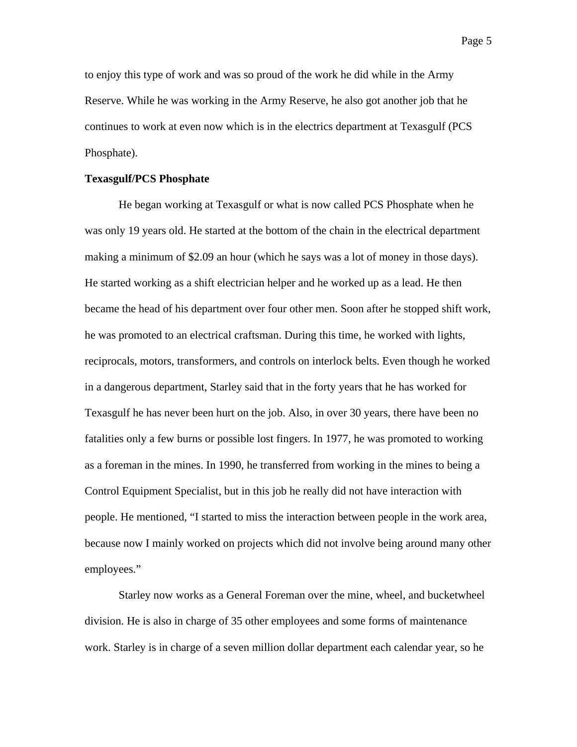to enjoy this type of work and was so proud of the work he did while in the Army Reserve. While he was working in the Army Reserve, he also got another job that he continues to work at even now which is in the electrics department at Texasgulf (PCS Phosphate).

# **Texasgulf/PCS Phosphate**

 He began working at Texasgulf or what is now called PCS Phosphate when he was only 19 years old. He started at the bottom of the chain in the electrical department making a minimum of \$2.09 an hour (which he says was a lot of money in those days). He started working as a shift electrician helper and he worked up as a lead. He then became the head of his department over four other men. Soon after he stopped shift work, he was promoted to an electrical craftsman. During this time, he worked with lights, reciprocals, motors, transformers, and controls on interlock belts. Even though he worked in a dangerous department, Starley said that in the forty years that he has worked for Texasgulf he has never been hurt on the job. Also, in over 30 years, there have been no fatalities only a few burns or possible lost fingers. In 1977, he was promoted to working as a foreman in the mines. In 1990, he transferred from working in the mines to being a Control Equipment Specialist, but in this job he really did not have interaction with people. He mentioned, "I started to miss the interaction between people in the work area, because now I mainly worked on projects which did not involve being around many other employees."

Starley now works as a General Foreman over the mine, wheel, and bucketwheel division. He is also in charge of 35 other employees and some forms of maintenance work. Starley is in charge of a seven million dollar department each calendar year, so he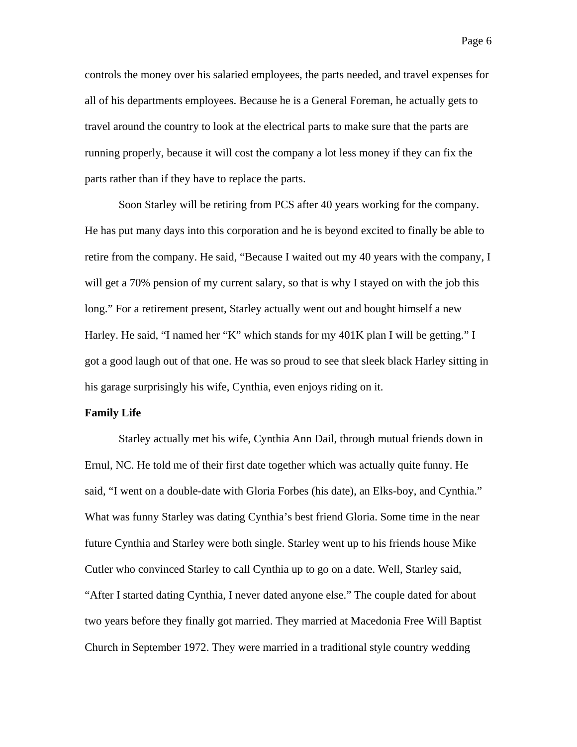controls the money over his salaried employees, the parts needed, and travel expenses for all of his departments employees. Because he is a General Foreman, he actually gets to travel around the country to look at the electrical parts to make sure that the parts are running properly, because it will cost the company a lot less money if they can fix the parts rather than if they have to replace the parts.

Soon Starley will be retiring from PCS after 40 years working for the company. He has put many days into this corporation and he is beyond excited to finally be able to retire from the company. He said, "Because I waited out my 40 years with the company, I will get a 70% pension of my current salary, so that is why I stayed on with the job this long." For a retirement present, Starley actually went out and bought himself a new Harley. He said, "I named her "K" which stands for my 401K plan I will be getting." I got a good laugh out of that one. He was so proud to see that sleek black Harley sitting in his garage surprisingly his wife, Cynthia, even enjoys riding on it.

#### **Family Life**

 Starley actually met his wife, Cynthia Ann Dail, through mutual friends down in Ernul, NC. He told me of their first date together which was actually quite funny. He said, "I went on a double-date with Gloria Forbes (his date), an Elks-boy, and Cynthia." What was funny Starley was dating Cynthia's best friend Gloria. Some time in the near future Cynthia and Starley were both single. Starley went up to his friends house Mike Cutler who convinced Starley to call Cynthia up to go on a date. Well, Starley said, "After I started dating Cynthia, I never dated anyone else." The couple dated for about two years before they finally got married. They married at Macedonia Free Will Baptist Church in September 1972. They were married in a traditional style country wedding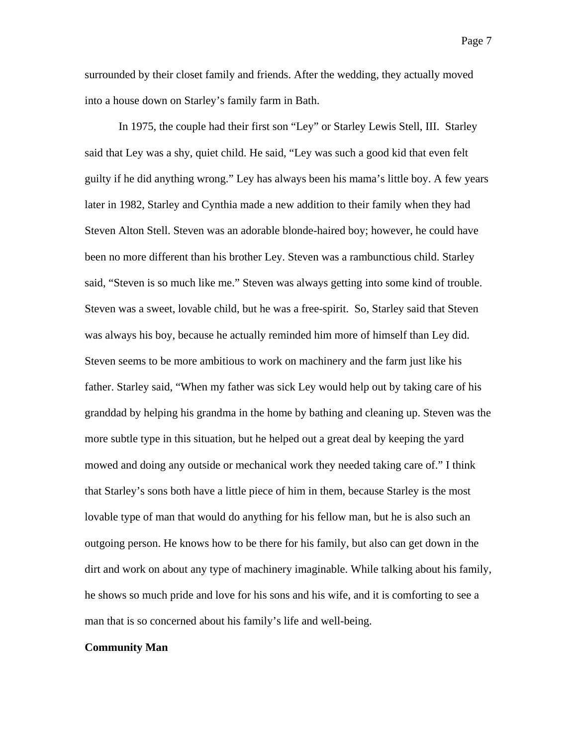surrounded by their closet family and friends. After the wedding, they actually moved into a house down on Starley's family farm in Bath.

In 1975, the couple had their first son "Ley" or Starley Lewis Stell, III. Starley said that Ley was a shy, quiet child. He said, "Ley was such a good kid that even felt guilty if he did anything wrong." Ley has always been his mama's little boy. A few years later in 1982, Starley and Cynthia made a new addition to their family when they had Steven Alton Stell. Steven was an adorable blonde-haired boy; however, he could have been no more different than his brother Ley. Steven was a rambunctious child. Starley said, "Steven is so much like me." Steven was always getting into some kind of trouble. Steven was a sweet, lovable child, but he was a free-spirit. So, Starley said that Steven was always his boy, because he actually reminded him more of himself than Ley did. Steven seems to be more ambitious to work on machinery and the farm just like his father. Starley said, "When my father was sick Ley would help out by taking care of his granddad by helping his grandma in the home by bathing and cleaning up. Steven was the more subtle type in this situation, but he helped out a great deal by keeping the yard mowed and doing any outside or mechanical work they needed taking care of." I think that Starley's sons both have a little piece of him in them, because Starley is the most lovable type of man that would do anything for his fellow man, but he is also such an outgoing person. He knows how to be there for his family, but also can get down in the dirt and work on about any type of machinery imaginable. While talking about his family, he shows so much pride and love for his sons and his wife, and it is comforting to see a man that is so concerned about his family's life and well-being.

### **Community Man**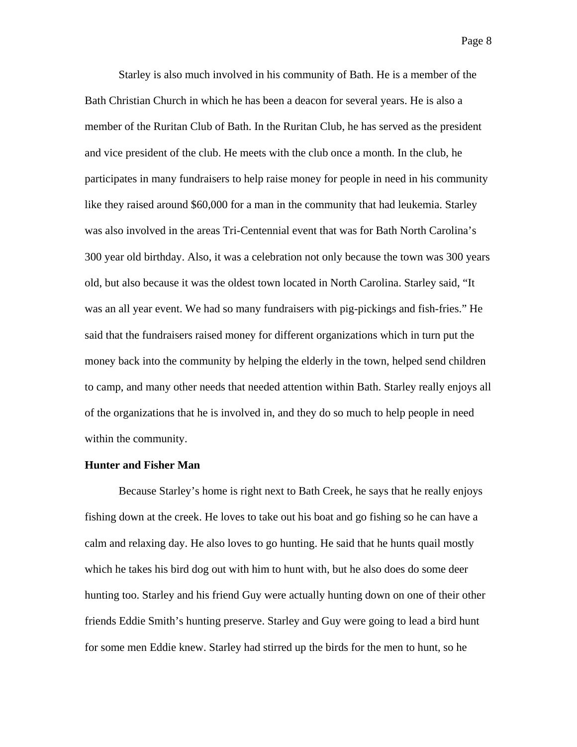Starley is also much involved in his community of Bath. He is a member of the Bath Christian Church in which he has been a deacon for several years. He is also a member of the Ruritan Club of Bath. In the Ruritan Club, he has served as the president and vice president of the club. He meets with the club once a month. In the club, he participates in many fundraisers to help raise money for people in need in his community like they raised around \$60,000 for a man in the community that had leukemia. Starley was also involved in the areas Tri-Centennial event that was for Bath North Carolina's 300 year old birthday. Also, it was a celebration not only because the town was 300 years old, but also because it was the oldest town located in North Carolina. Starley said, "It was an all year event. We had so many fundraisers with pig-pickings and fish-fries." He said that the fundraisers raised money for different organizations which in turn put the money back into the community by helping the elderly in the town, helped send children to camp, and many other needs that needed attention within Bath. Starley really enjoys all of the organizations that he is involved in, and they do so much to help people in need within the community.

# **Hunter and Fisher Man**

 Because Starley's home is right next to Bath Creek, he says that he really enjoys fishing down at the creek. He loves to take out his boat and go fishing so he can have a calm and relaxing day. He also loves to go hunting. He said that he hunts quail mostly which he takes his bird dog out with him to hunt with, but he also does do some deer hunting too. Starley and his friend Guy were actually hunting down on one of their other friends Eddie Smith's hunting preserve. Starley and Guy were going to lead a bird hunt for some men Eddie knew. Starley had stirred up the birds for the men to hunt, so he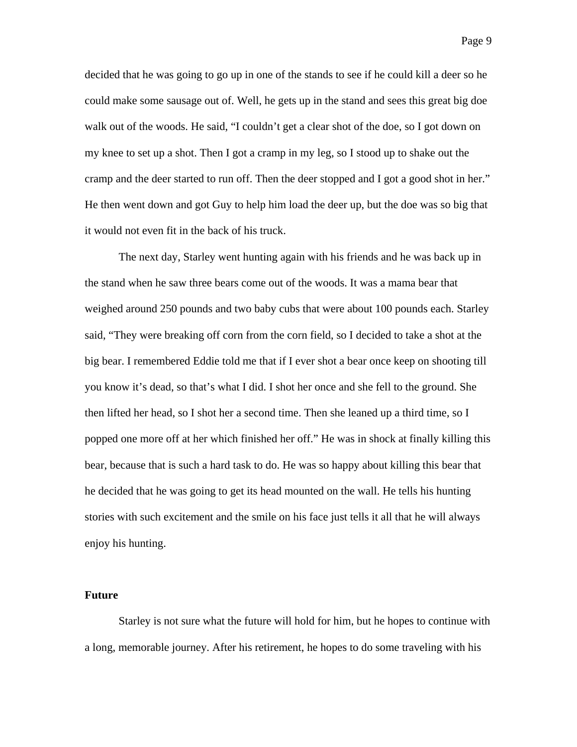decided that he was going to go up in one of the stands to see if he could kill a deer so he could make some sausage out of. Well, he gets up in the stand and sees this great big doe walk out of the woods. He said, "I couldn't get a clear shot of the doe, so I got down on my knee to set up a shot. Then I got a cramp in my leg, so I stood up to shake out the cramp and the deer started to run off. Then the deer stopped and I got a good shot in her." He then went down and got Guy to help him load the deer up, but the doe was so big that it would not even fit in the back of his truck.

 The next day, Starley went hunting again with his friends and he was back up in the stand when he saw three bears come out of the woods. It was a mama bear that weighed around 250 pounds and two baby cubs that were about 100 pounds each. Starley said, "They were breaking off corn from the corn field, so I decided to take a shot at the big bear. I remembered Eddie told me that if I ever shot a bear once keep on shooting till you know it's dead, so that's what I did. I shot her once and she fell to the ground. She then lifted her head, so I shot her a second time. Then she leaned up a third time, so I popped one more off at her which finished her off." He was in shock at finally killing this bear, because that is such a hard task to do. He was so happy about killing this bear that he decided that he was going to get its head mounted on the wall. He tells his hunting stories with such excitement and the smile on his face just tells it all that he will always enjoy his hunting.

# **Future**

 Starley is not sure what the future will hold for him, but he hopes to continue with a long, memorable journey. After his retirement, he hopes to do some traveling with his